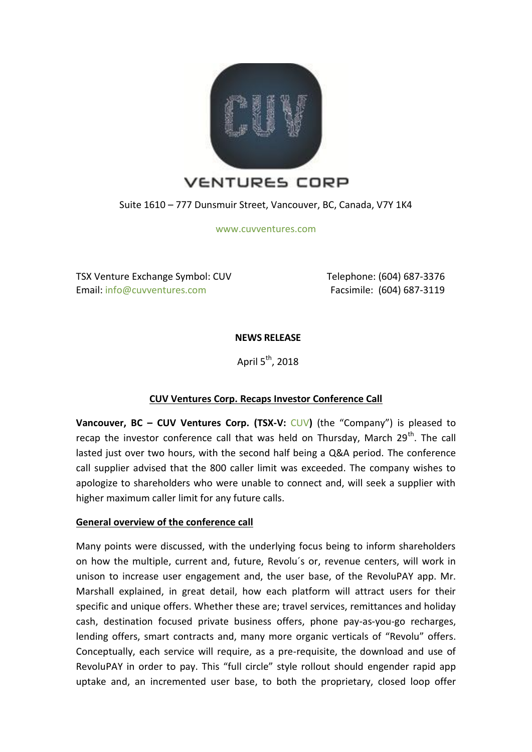

Suite 1610 – 777 Dunsmuir Street, Vancouver, BC, Canada, V7Y 1K4

[www.cuvventures.com](http://www.cuvventures.com/)

TSX Venture Exchange Symbol: CUV Email[: info@cuvventures.com](mailto:info@cuvventures.com)

 Telephone: (604) 687-3376 Facsimile: (604) 687-3119

**NEWS RELEASE**

April  $5<sup>th</sup>$ , 2018

# **CUV Ventures Corp. Recaps Investor Conference Call**

**Vancouver, BC – [CUV](http://web.tmxmoney.com/quote.php?qm_symbol=CUV) Ventures Corp. (TSX-V: CUV) (the "Company") is pleased to** recap the investor conference call that was held on Thursday, March  $29<sup>th</sup>$ . The call lasted just over two hours, with the second half being a Q&A period. The conference call supplier advised that the 800 caller limit was exceeded. The company wishes to apologize to shareholders who were unable to connect and, will seek a supplier with higher maximum caller limit for any future calls.

# **General overview of the conference call**

Many points were discussed, with the underlying focus being to inform shareholders on how the multiple, current and, future, Revolu´s or, revenue centers, will work in unison to increase user engagement and, the user base, of the RevoluPAY app. Mr. Marshall explained, in great detail, how each platform will attract users for their specific and unique offers. Whether these are; travel services, remittances and holiday cash, destination focused private business offers, phone pay-as-you-go recharges, lending offers, smart contracts and, many more organic verticals of "Revolu" offers. Conceptually, each service will require, as a pre-requisite, the download and use of RevoluPAY in order to pay. This "full circle" style rollout should engender rapid app uptake and, an incremented user base, to both the proprietary, closed loop offer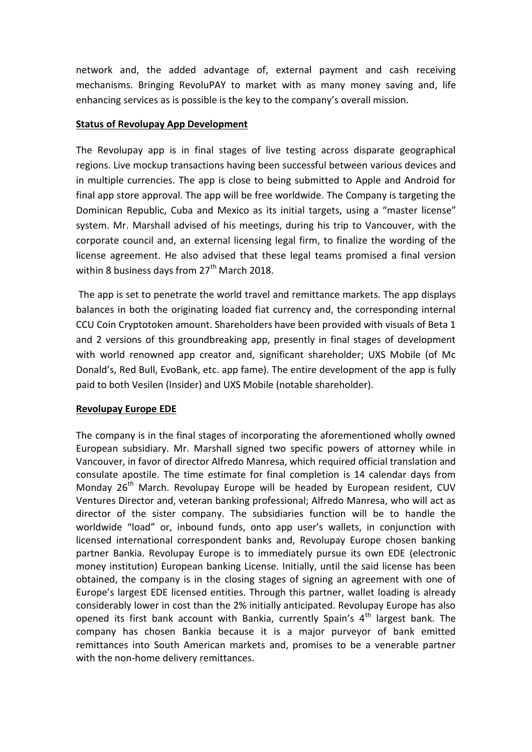network and, the added advantage of, external payment and cash receiving mechanisms. Bringing RevoluPAY to market with as many money saving and, life enhancing services as is possible is the key to the company's overall mission.

### **Status of Revolupay App Development**

The Revolupay app is in final stages of live testing across disparate geographical regions. Live mockup transactions having been successful between various devices and in multiple currencies. The app is close to being submitted to Apple and Android for final app store approval. The app will be free worldwide. The Company is targeting the Dominican Republic, Cuba and Mexico as its initial targets, using a "master license" system. Mr. Marshall advised of his meetings, during his trip to Vancouver, with the corporate council and, an external licensing legal firm, to finalize the wording of the license agreement. He also advised that these legal teams promised a final version within 8 business days from  $27<sup>th</sup>$  March 2018.

The app is set to penetrate the world travel and remittance markets. The app displays balances in both the originating loaded fiat currency and, the corresponding internal CCU Coin Cryptotoken amount. Shareholders have been provided with visuals of Beta 1 and 2 versions of this groundbreaking app, presently in final stages of development with world renowned app creator and, significant shareholder; UXS Mobile (of Mc Donald's, Red Bull, EvoBank, etc. app fame). The entire development of the app is fully paid to both Vesilen (Insider) and UXS Mobile (notable shareholder).

#### **Revolupay Europe EDE**

The company is in the final stages of incorporating the aforementioned wholly owned European subsidiary. Mr. Marshall signed two specific powers of attorney while in Vancouver, in favor of director Alfredo Manresa, which required official translation and consulate apostile. The time estimate for final completion is 14 calendar days from Monday  $26<sup>th</sup>$  March. Revolupay Europe will be headed by European resident, CUV Ventures Director and, veteran banking professional; Alfredo Manresa, who will act as director of the sister company. The subsidiaries function will be to handle the worldwide "load" or, inbound funds, onto app user's wallets, in conjunction with licensed international correspondent banks and, Revolupay Europe chosen banking partner Bankia. Revolupay Europe is to immediately pursue its own EDE (electronic money institution) European banking License. Initially, until the said license has been obtained, the company is in the closing stages of signing an agreement with one of Europe's largest EDE licensed entities. Through this partner, wallet loading is already considerably lower in cost than the 2% initially anticipated. Revolupay Europe has also opened its first bank account with Bankia, currently Spain's  $4<sup>th</sup>$  largest bank. The company has chosen Bankia because it is a major purveyor of bank emitted remittances into South American markets and, promises to be a venerable partner with the non-home delivery remittances.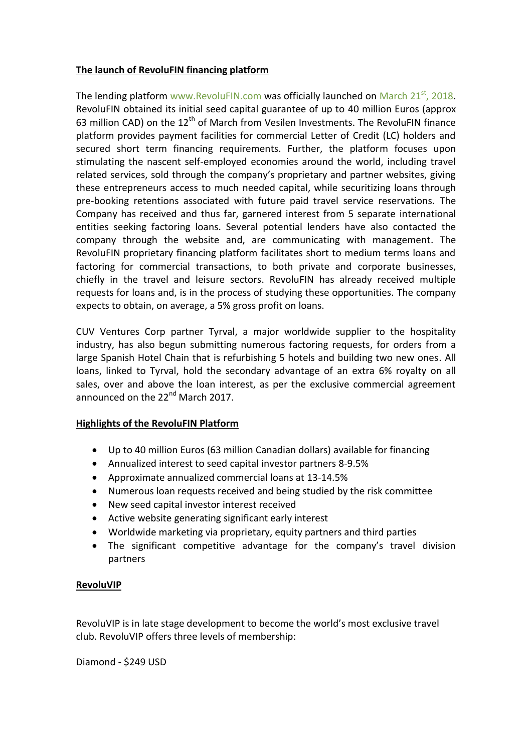### **The launch of RevoluFIN financing platform**

The lending platform [www.RevoluFIN.com](http://www.revolufin.com/) was officially launched on March  $21<sup>st</sup>$ , 2018. RevoluFIN obtained its initial seed capital guarantee of up to 40 million Euros (approx 63 million CAD) on the  $12<sup>th</sup>$  of March from Vesilen Investments. The RevoluFIN finance platform provides payment facilities for commercial Letter of Credit (LC) holders and secured short term financing requirements. Further, the platform focuses upon stimulating the nascent self-employed economies around the world, including travel related services, sold through the company's proprietary and partner websites, giving these entrepreneurs access to much needed capital, while securitizing loans through pre-booking retentions associated with future paid travel service reservations. The Company has received and thus far, garnered interest from 5 separate international entities seeking factoring loans. Several potential lenders have also contacted the company through the website and, are communicating with management. The RevoluFIN proprietary financing platform facilitates short to medium terms loans and factoring for commercial transactions, to both private and corporate businesses, chiefly in the travel and leisure sectors. RevoluFIN has already received multiple requests for loans and, is in the process of studying these opportunities. The company expects to obtain, on average, a 5% gross profit on loans.

CUV Ventures Corp partner Tyrval, a major worldwide supplier to the hospitality industry, has also begun submitting numerous factoring requests, for orders from a large Spanish Hotel Chain that is refurbishing 5 hotels and building two new ones. All loans, linked to Tyrval, hold the secondary advantage of an extra 6% royalty on all sales, over and above the loan interest, as per the exclusive commercial agreement announced on the 22<sup>nd</sup> March 2017.

# **Highlights of the RevoluFIN Platform**

- Up to 40 million Euros (63 million Canadian dollars) available for financing
- Annualized interest to seed capital investor partners 8-9.5%
- Approximate annualized commercial loans at 13-14.5%
- Numerous loan requests received and being studied by the risk committee
- New seed capital investor interest received
- Active website generating significant early interest
- Worldwide marketing via proprietary, equity partners and third parties
- The significant competitive advantage for the company's travel division partners

#### **RevoluVIP**

RevoluVIP is in late stage development to become the world's most exclusive travel club. RevoluVIP offers three levels of membership:

Diamond - \$249 USD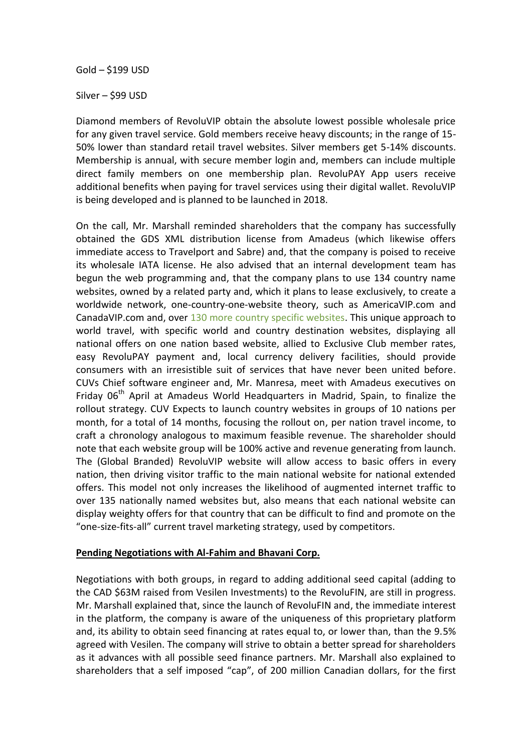Gold – \$199 USD

Silver – \$99 USD

Diamond members of RevoluVIP obtain the absolute lowest possible wholesale price for any given travel service. Gold members receive heavy discounts; in the range of 15- 50% lower than standard retail travel websites. Silver members get 5-14% discounts. Membership is annual, with secure member login and, members can include multiple direct family members on one membership plan. RevoluPAY App users receive additional benefits when paying for travel services using their digital wallet. RevoluVIP is being developed and is planned to be launched in 2018.

On the call, Mr. Marshall reminded shareholders that the company has successfully obtained the GDS XML distribution license from Amadeus (which likewise offers immediate access to Travelport and Sabre) and, that the company is poised to receive its wholesale IATA license. He also advised that an internal development team has begun the web programming and, that the company plans to use 134 country name websites, owned by a related party and, which it plans to lease exclusively, to create a worldwide network, one-country-one-website theory, such as AmericaVIP.com and CanadaVIP.com and, over [130 more country specific websites.](http://hotels.australiavip.com/Place/Australia.htm) This unique approach to world travel, with specific world and country destination websites, displaying all national offers on one nation based website, allied to Exclusive Club member rates, easy RevoluPAY payment and, local currency delivery facilities, should provide consumers with an irresistible suit of services that have never been united before. CUVs Chief software engineer and, Mr. Manresa, meet with Amadeus executives on Friday  $06<sup>th</sup>$  April at Amadeus World Headquarters in Madrid, Spain, to finalize the rollout strategy. CUV Expects to launch country websites in groups of 10 nations per month, for a total of 14 months, focusing the rollout on, per nation travel income, to craft a chronology analogous to maximum feasible revenue. The shareholder should note that each website group will be 100% active and revenue generating from launch. The (Global Branded) RevoluVIP website will allow access to basic offers in every nation, then driving visitor traffic to the main national website for national extended offers. This model not only increases the likelihood of augmented internet traffic to over 135 nationally named websites but, also means that each national website can display weighty offers for that country that can be difficult to find and promote on the "one-size-fits-all" current travel marketing strategy, used by competitors.

#### **Pending Negotiations with Al-Fahim and Bhavani Corp.**

Negotiations with both groups, in regard to adding additional seed capital (adding to the CAD \$63M raised from Vesilen Investments) to the RevoluFIN, are still in progress. Mr. Marshall explained that, since the launch of RevoluFIN and, the immediate interest in the platform, the company is aware of the uniqueness of this proprietary platform and, its ability to obtain seed financing at rates equal to, or lower than, than the 9.5% agreed with Vesilen. The company will strive to obtain a better spread for shareholders as it advances with all possible seed finance partners. Mr. Marshall also explained to shareholders that a self imposed "cap", of 200 million Canadian dollars, for the first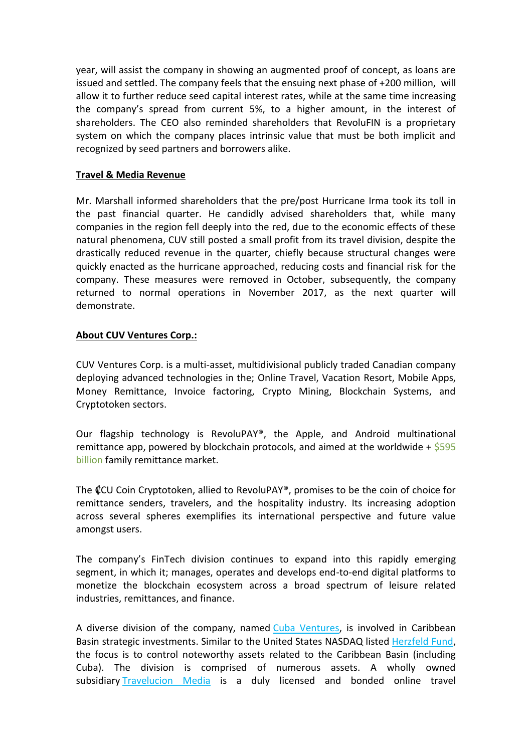year, will assist the company in showing an augmented proof of concept, as loans are issued and settled. The company feels that the ensuing next phase of +200 million, will allow it to further reduce seed capital interest rates, while at the same time increasing the company's spread from current 5%, to a higher amount, in the interest of shareholders. The CEO also reminded shareholders that RevoluFIN is a proprietary system on which the company places intrinsic value that must be both implicit and recognized by seed partners and borrowers alike.

### **Travel & Media Revenue**

Mr. Marshall informed shareholders that the pre/post Hurricane Irma took its toll in the past financial quarter. He candidly advised shareholders that, while many companies in the region fell deeply into the red, due to the economic effects of these natural phenomena, CUV still posted a small profit from its travel division, despite the drastically reduced revenue in the quarter, chiefly because structural changes were quickly enacted as the hurricane approached, reducing costs and financial risk for the company. These measures were removed in October, subsequently, the company returned to normal operations in November 2017, as the next quarter will demonstrate.

# **About CUV Ventures Corp.:**

CUV Ventures Corp. is a multi-asset, multidivisional publicly traded Canadian company deploying advanced technologies in the; Online Travel, Vacation Resort, Mobile Apps, Money Remittance, Invoice factoring, Crypto Mining, Blockchain Systems, and Cryptotoken sectors.

Our flagship technology is RevoluPAY®, the Apple, and Android multinational remittance app, powered by blockchain protocols, and aimed at the worldwide +  $$595$ [billion](http://www.worldbank.org/en/topic/migrationremittancesdiasporaissues/brief/migration-remittances-data) family remittance market.

The ₡CU Coin Cryptotoken, allied to RevoluPAY®, promises to be the coin of choice for remittance senders, travelers, and the hospitality industry. Its increasing adoption across several spheres exemplifies its international perspective and future value amongst users.

The company's FinTech division continues to expand into this rapidly emerging segment, in which it; manages, operates and develops end-to-end digital platforms to monetize the blockchain ecosystem across a broad spectrum of leisure related industries, remittances, and finance.

A diverse division of the company, named [Cuba Ventures,](http://www.cubaventures.com/) is involved in Caribbean Basin strategic investments. Similar to the United States NASDAQ listed [Herzfeld Fund,](https://www.herzfeld.com/cuba) the focus is to control noteworthy assets related to the Caribbean Basin (including Cuba). The division is comprised of numerous assets. A wholly owned subsidiary [Travelucion Media](http://www.travelucion.com/) is a duly licensed and bonded online travel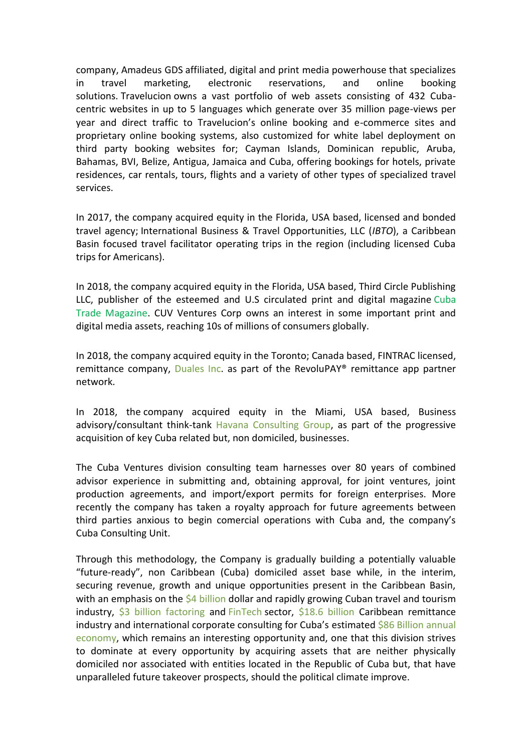company, [Amadeus GDS](http://www.amadeus.com/) affiliated, digital and print media powerhouse that specializes in travel marketing, electronic reservations, and online booking solutions. [Travelucion](http://www.travelucion.com/) owns a vast portfolio of web assets consisting of 432 Cubacentric websites in up to 5 languages which generate over 35 million page-views per year and direct traffic to Travelucion's online booking and e-commerce sites and proprietary online booking systems, also customized for white label deployment on third party booking websites for; Cayman Islands, Dominican republic, Aruba, Bahamas, BVI, Belize, Antigua, Jamaica and Cuba, offering bookings for hotels, private residences, car rentals, tours, flights and a variety of other types of specialized travel services.

In 2017, the company acquired equity in the Florida, USA based, licensed and bonded travel agency; International Business & Travel Opportunities, LLC (*IBTO*), a Caribbean Basin focused travel facilitator operating trips in the region (including licensed Cuba trips for Americans).

In 2018, the company acquired equity in the Florida, USA based, Third Circle Publishing LLC, publisher of the esteemed and U.S circulated print and digital magazine [Cuba](http://www.cubatrademagazine.com/)  [Trade Magazine.](http://www.cubatrademagazine.com/) CUV Ventures Corp owns an interest in some important print and digital media assets, reaching 10s of millions of consumers globally.

In 2018, the company acquired equity in the Toronto; Canada based, FINTRAC licensed, remittance company, [Duales Inc.](http://www.duales.com/) as part of the RevoluPAY<sup>®</sup> remittance app partner network.

In 2018, the company acquired equity in the Miami, USA based, Business advisory/consultant think-tank [Havana Consulting Group,](http://www.thehavanaconsultinggroup.com/) as part of the progressive acquisition of key Cuba related but, non domiciled, businesses.

The Cuba Ventures division consulting team harnesses over 80 years of combined advisor experience in submitting and, obtaining approval, for joint ventures, joint production agreements, and import/export permits for foreign enterprises. More recently the company has taken a royalty approach for future agreements between third parties anxious to begin comercial operations with Cuba and, the company's Cuba Consulting Unit.

Through this methodology, the Company is gradually building a potentially valuable "future-ready", non Caribbean (Cuba) domiciled asset base while, in the interim, securing revenue, growth and unique opportunities present in the Caribbean Basin, with an emphasis on the [\\$4 billion](https://wits.worldbank.org/CountryProfile/en/CUB) dollar and rapidly growing Cuban travel and tourism industry, [\\$3 billion factoring](https://wits.worldbank.org/CountryProfile/en/CUB) and [FinTech](http://www.revolufin.com/) sector, [\\$18.6 billion](http://www.worldbank.org/en/topic/migrationremittancesdiasporaissues/brief/migration-remittances-data) Caribbean remittance industry and international corporate consulting for Cuba's estimated \$86 Billion annual [economy,](https://es.wikipedia.org/wiki/Economía_de_Cuba) which remains an interesting opportunity and, one that this division strives to dominate at every opportunity by acquiring assets that are neither physically domiciled nor associated with entities located in the Republic of Cuba but, that have unparalleled future takeover prospects, should the political climate improve.